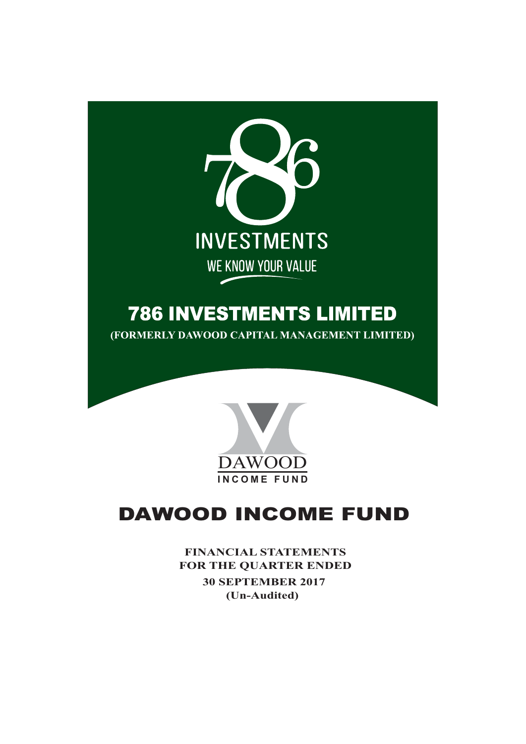

# **786 INVESTMENTS LIMITED**

(FORMERLY DAWOOD CAPITAL MANAGEMENT LIMITED)



# **DAWOOD INCOME FUND**

**FINANCIAL STATEMENTS** FOR THE QUARTER ENDED **30 SEPTEMBER 2017** (Un-Audited)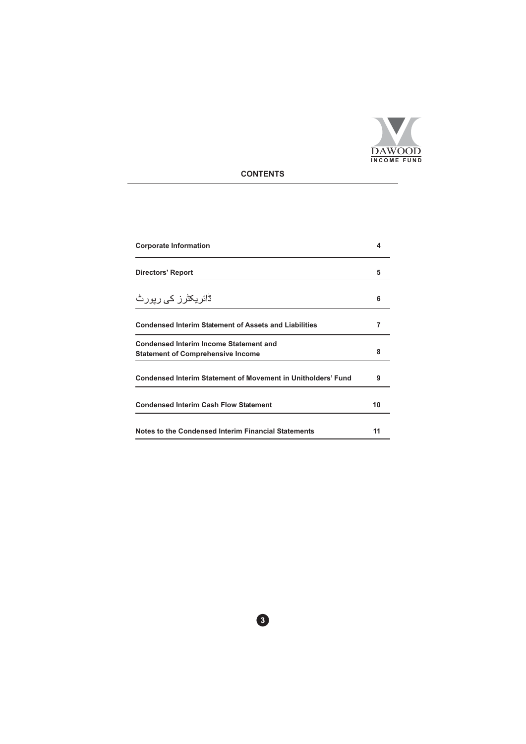

# **CONTENTS**

| <b>Corporate Information</b>                                                              |    |
|-------------------------------------------------------------------------------------------|----|
| <b>Directors' Report</b>                                                                  | 5  |
| ڈائ <i>ر</i> یکٹرز ک <i>ی</i> رپورٹ                                                       | 6  |
| <b>Condensed Interim Statement of Assets and Liabilities</b>                              | 7  |
| <b>Condensed Interim Income Statement and</b><br><b>Statement of Comprehensive Income</b> | 8  |
| <b>Condensed Interim Statement of Movement in Unitholders' Fund</b>                       | 9  |
| <b>Condensed Interim Cash Flow Statement</b>                                              | 10 |
| Notes to the Condensed Interim Financial Statements                                       | 11 |

 $\bullet$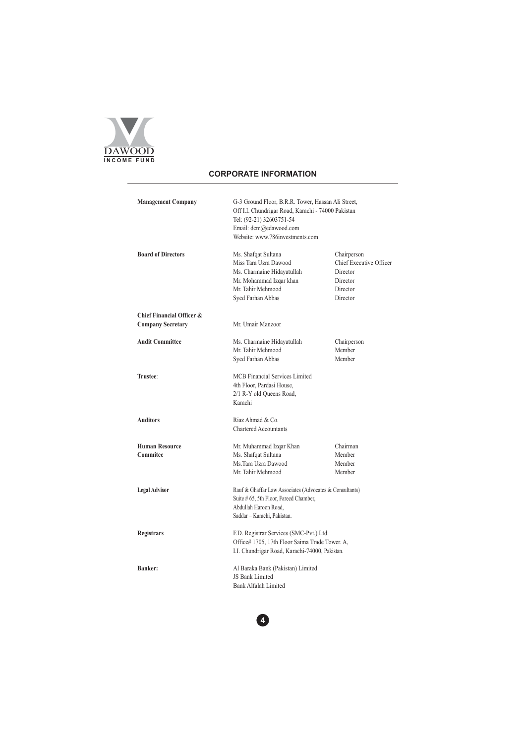

# **CORPORATE INFORMATION**

| <b>Management Company</b>         | G-3 Ground Floor, B.R.R. Tower, Hassan Ali Street,<br>Off I.I. Chundrigar Road, Karachi - 74000 Pakistan<br>Tel: (92-21) 32603751-54<br>Email: dcm@edawood.com<br>Website: www.786investments.com |                                                                                        |  |  |  |
|-----------------------------------|---------------------------------------------------------------------------------------------------------------------------------------------------------------------------------------------------|----------------------------------------------------------------------------------------|--|--|--|
| <b>Board of Directors</b>         | Ms. Shafqat Sultana<br>Miss Tara Uzra Dawood<br>Ms. Charmaine Hidayatullah<br>Mr. Mohammad Izqar khan<br>Mr. Tahir Mehmood<br>Syed Farhan Abbas                                                   | Chairperson<br>Chief Executive Officer<br>Director<br>Director<br>Director<br>Director |  |  |  |
| Chief Financial Officer &         |                                                                                                                                                                                                   |                                                                                        |  |  |  |
| <b>Company Secretary</b>          | Mr. Umair Manzoor                                                                                                                                                                                 |                                                                                        |  |  |  |
| <b>Audit Committee</b>            | Ms. Charmaine Hidayatullah<br>Mr. Tahir Mehmood<br>Syed Farhan Abbas                                                                                                                              | Chairperson<br>Member<br>Member                                                        |  |  |  |
| Trustee:                          | <b>MCB</b> Financial Services Limited<br>4th Floor, Pardasi House,<br>2/1 R-Y old Queens Road,<br>Karachi                                                                                         |                                                                                        |  |  |  |
| <b>Auditors</b>                   | Riaz Ahmad & Co.<br><b>Chartered Accountants</b>                                                                                                                                                  |                                                                                        |  |  |  |
| <b>Human Resource</b><br>Commitee | Mr. Muhammad Izqar Khan<br>Ms. Shafqat Sultana<br>Ms.Tara Uzra Dawood<br>Mr. Tahir Mehmood                                                                                                        | Chairman<br>Member<br>Member<br>Member                                                 |  |  |  |
| <b>Legal Advisor</b>              | Rauf & Ghaffar Law Associates (Advocates & Consultants)<br>Suite # 65, 5th Floor, Fareed Chamber,<br>Abdullah Haroon Road.<br>Saddar - Karachi, Pakistan.                                         |                                                                                        |  |  |  |
| <b>Registrars</b>                 | F.D. Registrar Services (SMC-Pvt.) Ltd.<br>Office# 1705, 17th Floor Saima Trade Tower. A,<br>I.I. Chundrigar Road, Karachi-74000, Pakistan.                                                       |                                                                                        |  |  |  |
| Banker:                           | Al Baraka Bank (Pakistan) Limited<br>JS Bank Limited<br>Bank Alfalah Limited                                                                                                                      |                                                                                        |  |  |  |

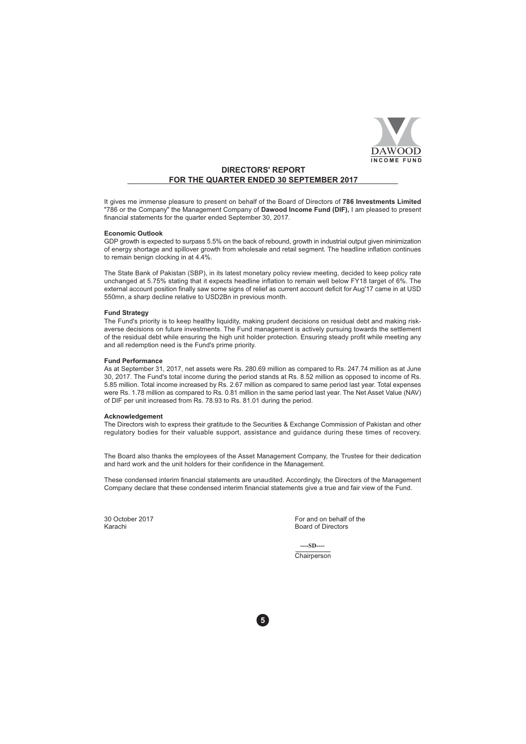

# **DIRECTORS' REPORT** FOR THE QUARTER ENDED 30 SEPTEMBER 2017

It gives me immense pleasure to present on behalf of the Board of Directors of 786 Investments Limited "786 or the Company" the Management Company of Dawood Income Fund (DIF), I am pleased to present financial statements for the quarter ended September 30, 2017.

## **Economic Outlook**

GDP growth is expected to surpass 5.5% on the back of rebound, growth in industrial output given minimization of energy shortage and spillover growth from wholesale and retail segment. The headline inflation continues to remain benign clocking in at 4.4%.

The State Bank of Pakistan (SBP), in its latest monetary policy review meeting, decided to keep policy rate unchanged at 5.75% stating that it expects headline inflation to remain well below FY18 target of 6%. The external account position finally saw some signs of relief as current account deficit for Aug'17 came in at USD 550mn, a sharp decline relative to USD2Bn in previous month.

## **Fund Strategy**

The Fund's priority is to keep healthy liquidity, making prudent decisions on residual debt and making riskaverse decisions on future investments. The Fund management is actively pursuing towards the settlement of the residual debt while ensuring the high unit holder protection. Ensuring steady profit while meeting any and all redemption need is the Fund's prime priority.

## **Fund Performance**

As at September 31, 2017, net assets were Rs. 280.69 million as compared to Rs. 247.74 million as at June 30, 2017. The Fund's total income during the period stands at Rs. 8.52 million as opposed to income of Rs. 5.85 million. Total income increased by Rs. 2.67 million as compared to same period last year. Total expenses were Rs. 1.78 million as compared to Rs. 0.81 million in the same period last year. The Net Asset Value (NAV) of DIF per unit increased from Rs. 78.93 to Rs. 81.01 during the period.

### **Acknowledgement**

The Directors wish to express their gratitude to the Securities & Exchange Commission of Pakistan and other regulatory bodies for their valuable support, assistance and quidance during these times of recovery.

The Board also thanks the employees of the Asset Management Company, the Trustee for their dedication and hard work and the unit holders for their confidence in the Management.

These condensed interim financial statements are unaudited. Accordingly, the Directors of the Management Company declare that these condensed interim financial statements give a true and fair view of the Fund.

30 October 2017 Karachi

For and on behalf of the Board of Directors

 $-SD-$ Chairperson

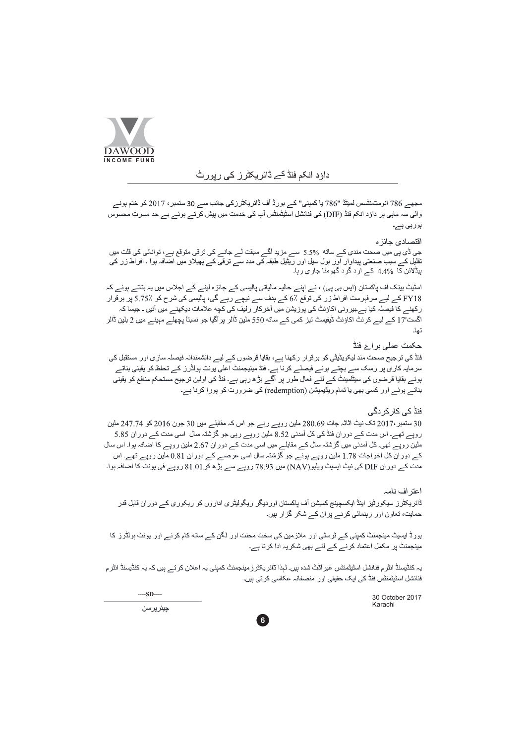

# داؤد انکم فنڈ کے ڈائریکٹرز کی رپورٹ

مجھے 786 انوسٹمنٹسس لمیٹڈ "786 یا کمپنی" کے بورڈ آف ڈائریکٹرزکی جانب سے 30 سنمبر ، 2017 کو ختم ہونے والی سہ ماہی پر داؤد انکم فنڈ (DIF) کی فنانشل اسٹیٹمنٹس آپ کی خدمت میں پیش کرتے ہوئے بے حد مسرت محسوس بوربي بے۔

## اقتصادى جائز ه

جی ڈی پی میں صحت مندی کے ساته 5.5% سے مزید آگے سبقت لے جانے کی ترقی متوقع ہے، توانائی کی قلت میں<br>تقلیل کے سبب صنعتی پیداوار اور ہول سیل اور ریٹیل طبقہ کی مدد سے ترقی کے پھیلاؤ میں اضافہ ہوا ۔ افراط زر کی ہیڈلائن کا %4.4 کے اُرد گرد گھومنا جاری رہا۔

اسٹیٹ بینک آف پاکستان (ایس بی پی) ، نے اپنے حالیہ مالیاتی پالیسی کے جائز ہ لینے کے اجلاس میں یہ بتاتے ہوئے کہ FY18 کے لیے سرفہرست افراط زر کی توقع ٪6 کے ہدف سے نیچے رہے گی، پالیسی کی شرح کو ٪5.75 پر برقرار ر کھنے کا فیصلہ کیا ہے۔بیر ونی اکاؤنٹ کی پوزیشن میں آخر کار رلیف کی کچه علامات دیکھنے میں آئیں ۔ جیسا کہ اگست'17 کے لیے کرنٹ اکاؤنٹ ڈیفیسٹ تیز کمی کے ساته 550 ملین ڈالر پر آگیا جو نسبتاً پچھلے مہینے میں 2 بلین ڈالر تعاد

## حکمت عملی بر اۓ فنڈ

فنڈ کی ترجیح صحت مند لیکویڈیٹی کو برقرار رکھنا ہے، بقایا قرضوں کے لیے دانشمندانہ فیصلہ سازی اور مستقبل کی سرمایہ کاری پر رسک سے بچتے ہوئے فیصلے کرنا ہے۔ فنڈ مینیجمنٹ اعلی یونٹ بولڈرز کے تحفظ کو یقینی بناتے ہوئے بقایا قرضوں کی سیٹلمینٹ کے لئے فعال طور پر اگے بڑ ھ رہی ہے۔ فنڈ کی اولین ترجیح مستحکم منافع کو يقيني بناتے ہوئے اور کسی بھی یا تمام ریڈیمپشن (redemption) کی ضرورت کو پورا کرنا ہے۔

## فنڈ کے کار کر دگے

30 سنمبر ،2017 تک نیٹ اثاثہ جات 280.69 ملین روپے رہے جو اس کہ مقابلے میں 30 جون 2016 کو 247.74 ملین روپے تھے۔ اس مدت کے دور ان فنڈ کی کل آمدنی 8.52 ملین روپے رہی جو گزشتہ سال اسی مدت کے دور ان 5.85 ملین روپے تھی۔ کل آمدنی میں گزشتہ سال کے مقابلے میں اسی مدت کے دور ان 2.67 ملین روپے کا اضافہ ہوا۔ اس سال کے دور ان کل اخر اجات 1.78 ملین روپے ہوئے جو گزشتہ سال اسی عرصے کے دور ان 0.81 ملین روپے تھے۔ اس مدت کے دور ان DIF کی نیٹ ایسیٹ ویلیو (NAV) میں 78.93 روپے سے بڑ ھ کر 81.01 روپے فی یونٹ کا اضافہ ہوا۔

# اعتر اف نامہ

ڈائریکٹرز سیکورٹیز اینڈ ایکسچینج کمیشن آف پاکستان اوردیگر ریگولیٹری اداروں کو ریکوری کے دوران قابل قدر حمایت، تعاون اور رہنمائی کرنے پران کے شکر گزار ہیں۔

بورڈ ایسیٹ مینجمنٹ کمپنی کے ٹرسٹی اور ملازمین کی سخت محنت اور لگن کے ساته کام کرنے اور یونٹ ہولڈرز کا مینجمنٹ پر مکمل اعتماد کرنے کے لئے بھی شکریہ ادا کرتا ہے۔

یہ کنڈیسنڈ انٹر م فنانشل اسٹیٹمنٹس غیر آڈٹ شدہ ہیں۔ لہذا ڈائر پکٹر ز مینجمنٹ کمینی یہ اعلان کر تـــر ہیں کہ یہ کنڈیسنڈ انٹر م فنانشل اسٹیٹمنٹس فنڈ کی ایک حقیقی اور منصفانہ عکاسی کرتی ہیں۔

6

30 October 2017 Karachi

 $---SD---$ 

چيئر پر سن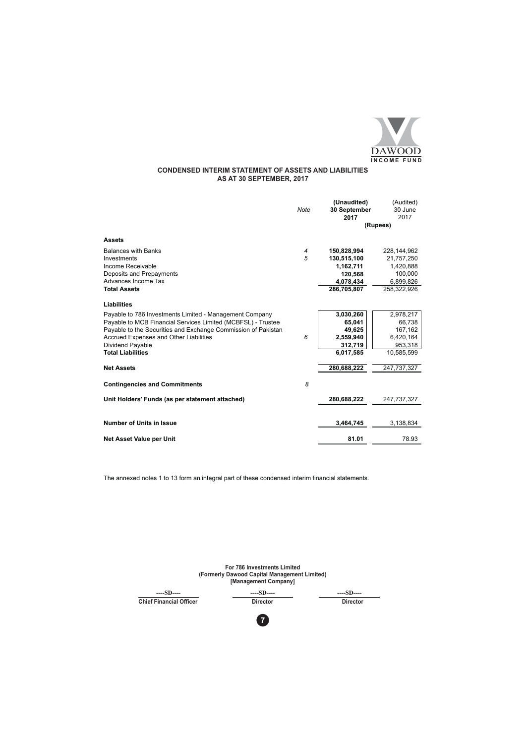

# **CONDENSED INTERIM STATEMENT OF ASSETS AND LIABILITIES**<br>AS AT 30 SEPTEMBER, 2017

|                                                               | <b>Note</b> | (Unaudited)<br>30 September | (Audited)<br>30 June      |
|---------------------------------------------------------------|-------------|-----------------------------|---------------------------|
|                                                               |             | 2017                        | 2017                      |
|                                                               |             |                             | (Rupees)                  |
| <b>Assets</b>                                                 |             |                             |                           |
| <b>Balances with Banks</b><br>Investments                     | 4<br>5      | 150,828,994<br>130,515,100  | 228,144,962<br>21,757,250 |
| Income Receivable                                             |             | 1,162,711                   | 1,420,888                 |
| Deposits and Prepayments                                      |             | 120,568                     | 100,000                   |
| Advances Income Tax                                           |             | 4,078,434                   | 6,899,826                 |
| <b>Total Assets</b>                                           |             | 286.705.807                 | 258,322,926               |
| <b>Liabilities</b>                                            |             |                             |                           |
| Payable to 786 Investments Limited - Management Company       |             | 3,030,260                   | 2,978,217                 |
| Payable to MCB Financial Services Limited (MCBFSL) - Trustee  |             | 65,041                      | 66,738                    |
| Payable to the Securities and Exchange Commission of Pakistan |             | 49.625                      | 167,162                   |
| Accrued Expenses and Other Liabilities                        | 6           | 2,559,940                   | 6,420,164                 |
| <b>Dividend Payable</b>                                       |             | 312,719                     | 953,318                   |
| <b>Total Liabilities</b>                                      |             | 6.017.585                   | 10.585.599                |
| <b>Net Assets</b>                                             |             | 280,688,222                 | 247,737,327               |
| <b>Contingencies and Commitments</b>                          | 8           |                             |                           |
| Unit Holders' Funds (as per statement attached)               |             | 280,688,222                 | 247,737,327               |
| <b>Number of Units in Issue</b>                               |             | 3,464,745                   | 3,138,834                 |
|                                                               |             |                             |                           |
| Net Asset Value per Unit                                      |             | 81.01                       | 78.93                     |

|                                | <b>For 786 Investments Limited</b><br>(Formerly Dawood Capital Management Limited)<br>[Management Company] |                 |
|--------------------------------|------------------------------------------------------------------------------------------------------------|-----------------|
| $---SD---$                     | $---SD---$                                                                                                 | $---SD---$      |
| <b>Chief Financial Officer</b> | <b>Director</b>                                                                                            | <b>Director</b> |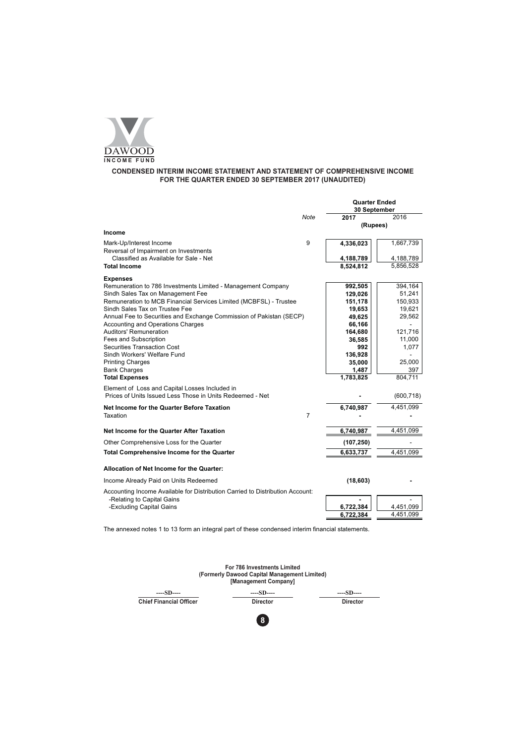

# CONDENSED INTERIM INCOME STATEMENT AND STATEMENT OF COMPREHENSIVE INCOME<br>FOR THE QUARTER ENDED 30 SEPTEMBER 2017 (UNAUDITED)

|                                                                                                                                         |                | <b>Quarter Ended</b><br>30 September |                        |
|-----------------------------------------------------------------------------------------------------------------------------------------|----------------|--------------------------------------|------------------------|
|                                                                                                                                         | Note           | 2017                                 | 2016                   |
|                                                                                                                                         |                | (Rupees)                             |                        |
| Income                                                                                                                                  |                |                                      |                        |
| Mark-Up/Interest Income<br>Reversal of Impairment on Investments                                                                        | 9              | 4,336,023                            | 1,667,739              |
| Classified as Available for Sale - Net                                                                                                  |                | 4,188,789                            | 4,188,789              |
| <b>Total Income</b>                                                                                                                     |                | 8,524,812                            | 5,856,528              |
| <b>Expenses</b>                                                                                                                         |                |                                      |                        |
| Remuneration to 786 Investments Limited - Management Company                                                                            |                | 992,505                              | 394,164                |
| Sindh Sales Tax on Management Fee                                                                                                       |                | 129,026                              | 51,241                 |
| Remuneration to MCB Financial Services Limited (MCBFSL) - Trustee                                                                       |                | 151,178                              | 150,933                |
| Sindh Sales Tax on Trustee Fee                                                                                                          |                | 19,653                               | 19,621                 |
| Annual Fee to Securities and Exchange Commission of Pakistan (SECP)                                                                     |                | 49,625                               | 29,562                 |
| Accounting and Operations Charges                                                                                                       |                | 66,166                               |                        |
| Auditors' Remuneration                                                                                                                  |                | 164,680                              | 121,716                |
| Fees and Subscription                                                                                                                   |                | 36,585                               | 11,000                 |
| <b>Securities Transaction Cost</b>                                                                                                      |                | 992                                  | 1,077                  |
| Sindh Workers' Welfare Fund                                                                                                             |                | 136,928                              |                        |
| <b>Printing Charges</b><br><b>Bank Charges</b>                                                                                          |                | 35,000                               | 25,000<br>397          |
| <b>Total Expenses</b>                                                                                                                   |                | 1,487<br>1,783,825                   | 804,711                |
|                                                                                                                                         |                |                                      |                        |
| Element of Loss and Capital Losses Included in<br>Prices of Units Issued Less Those in Units Redeemed - Net                             |                |                                      | (600, 718)             |
| Net Income for the Quarter Before Taxation                                                                                              |                | 6,740,987                            | 4,451,099              |
| Taxation                                                                                                                                | $\overline{7}$ |                                      |                        |
| Net Income for the Quarter After Taxation                                                                                               |                | 6,740,987                            | 4,451,099              |
| Other Comprehensive Loss for the Quarter                                                                                                |                | (107, 250)                           |                        |
| <b>Total Comprehensive Income for the Quarter</b>                                                                                       |                | 6,633,737                            | 4,451,099              |
| Allocation of Net Income for the Quarter:                                                                                               |                |                                      |                        |
| Income Already Paid on Units Redeemed                                                                                                   |                | (18, 603)                            |                        |
| Accounting Income Available for Distribution Carried to Distribution Account:<br>-Relating to Capital Gains<br>-Excluding Capital Gains |                | 6,722,384<br>6,722,384               | 4,451,099<br>4,451,099 |

| For 786 Investments Limited<br>(Formerly Dawood Capital Management Limited)<br>[Management Company] |                 |                 |  |  |  |
|-----------------------------------------------------------------------------------------------------|-----------------|-----------------|--|--|--|
| $---SD---$                                                                                          | $---SD---$      | $---SD---$      |  |  |  |
| <b>Chief Financial Officer</b>                                                                      | <b>Director</b> | <b>Director</b> |  |  |  |
|                                                                                                     | 8               |                 |  |  |  |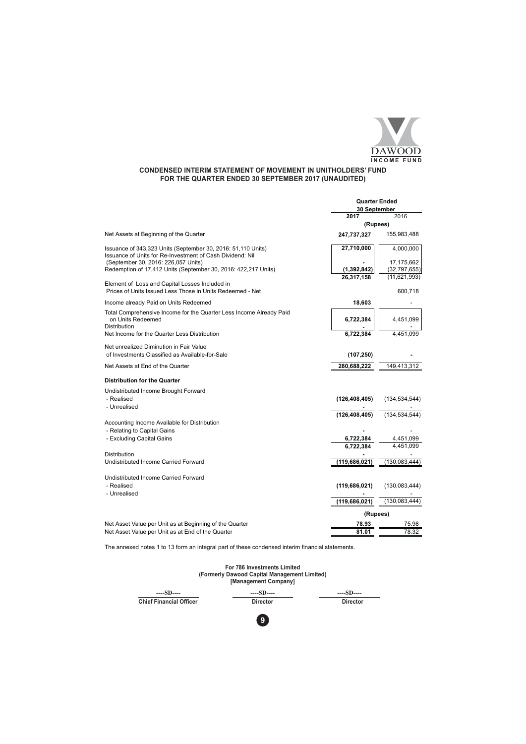

# **CONDENSED INTERIM STATEMENT OF MOVEMENT IN UNITHOLDERS' FUND** FOR THE QUARTER ENDED 30 SEPTEMBER 2017 (UNAUDITED)

|                                                                                                                           | <b>Quarter Ended</b><br>30 September |                 |
|---------------------------------------------------------------------------------------------------------------------------|--------------------------------------|-----------------|
|                                                                                                                           | 2017                                 | 2016            |
|                                                                                                                           | (Rupees)                             |                 |
| Net Assets at Beginning of the Quarter                                                                                    | 247,737,327                          | 155,983,488     |
| Issuance of 343,323 Units (September 30, 2016: 51,110 Units)<br>Issuance of Units for Re-Investment of Cash Dividend: Nil | 27,710,000                           | 4,000,000       |
| (September 30, 2016: 226,057 Units)                                                                                       |                                      | 17,175,662      |
| Redemption of 17,412 Units (September 30, 2016: 422,217 Units)                                                            | (1, 392, 842)                        | (32,797,655)    |
|                                                                                                                           | 26,317,158                           | (11, 621, 993)  |
| Element of Loss and Capital Losses Included in<br>Prices of Units Issued Less Those in Units Redeemed - Net               |                                      | 600,718         |
| Income already Paid on Units Redeemed                                                                                     | 18,603                               |                 |
| Total Comprehensive Income for the Quarter Less Income Already Paid<br>on Units Redeemed<br>Distribution                  | 6,722,384                            | 4,451,099       |
| Net Income for the Quarter Less Distribution                                                                              | 6,722,384                            | 4,451,099       |
|                                                                                                                           |                                      |                 |
| Net unrealized Diminution in Fair Value                                                                                   |                                      |                 |
| of Investments Classified as Available-for-Sale                                                                           | (107, 250)                           |                 |
| Net Assets at End of the Quarter                                                                                          | 280,688,222                          | 149,413,312     |
| <b>Distribution for the Quarter</b>                                                                                       |                                      |                 |
| Undistributed Income Brought Forward                                                                                      |                                      |                 |
| - Realised                                                                                                                | (126, 408, 405)                      | (134, 534, 544) |
| - Unrealised                                                                                                              |                                      |                 |
|                                                                                                                           | (126, 408, 405)                      | (134, 534, 544) |
| Accounting Income Available for Distribution                                                                              |                                      |                 |
| - Relating to Capital Gains                                                                                               |                                      |                 |
| - Excluding Capital Gains                                                                                                 | 6,722,384                            | 4,451,099       |
|                                                                                                                           | 6.722.384                            | 4.451.099       |
| Distribution                                                                                                              |                                      |                 |
| Undistributed Income Carried Forward                                                                                      | (119,686,021)                        | (130, 083, 444) |
| Undistributed Income Carried Forward                                                                                      |                                      |                 |
| - Realised                                                                                                                | (119, 686, 021)                      | (130, 083, 444) |
| - Unrealised                                                                                                              |                                      |                 |
|                                                                                                                           | (119,686,021)                        | (130, 083, 444) |
|                                                                                                                           | (Rupees)                             |                 |
| Net Asset Value per Unit as at Beginning of the Quarter                                                                   | 78.93                                | 75.98           |
| Net Asset Value per Unit as at End of the Quarter                                                                         | 81.01                                | 78.32           |



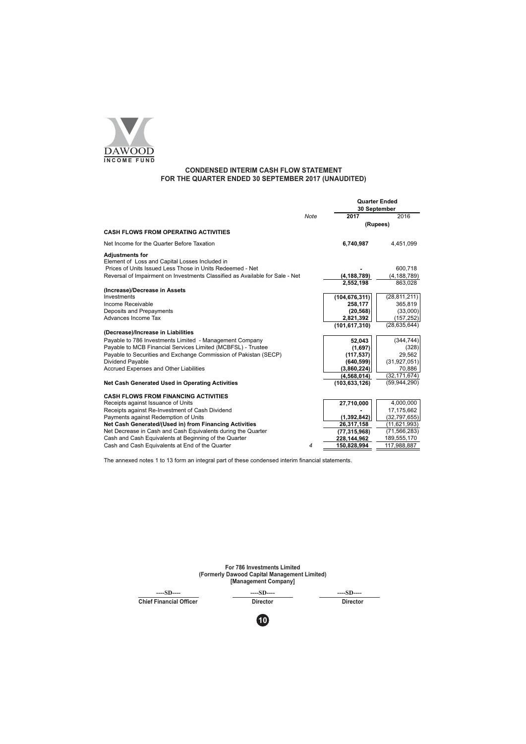

## **CONDENSED INTERIM CASH FLOW STATEMENT** FOR THE QUARTER ENDED 30 SEPTEMBER 2017 (UNAUDITED)

|                                                                                                             |      | <b>Quarter Ended</b>       |                          |  |
|-------------------------------------------------------------------------------------------------------------|------|----------------------------|--------------------------|--|
|                                                                                                             |      |                            | 30 September             |  |
|                                                                                                             | Note | 2017                       | 2016                     |  |
|                                                                                                             |      |                            | (Rupees)                 |  |
| <b>CASH FLOWS FROM OPERATING ACTIVITIES</b>                                                                 |      |                            |                          |  |
| Net Income for the Quarter Before Taxation                                                                  |      | 6.740.987                  | 4,451,099                |  |
| <b>Adjustments for</b>                                                                                      |      |                            |                          |  |
| Element of Loss and Capital Losses Included in<br>Prices of Units Issued Less Those in Units Redeemed - Net |      |                            |                          |  |
| Reversal of Impairment on Investments Classified as Available for Sale - Net                                |      |                            | 600,718                  |  |
|                                                                                                             |      | (4, 188, 789)<br>2.552.198 | (4, 188, 789)<br>863,028 |  |
| (Increase)/Decrease in Assets                                                                               |      |                            |                          |  |
| Investments                                                                                                 |      | (104, 676, 311)            | (28, 811, 211)           |  |
| Income Receivable                                                                                           |      | 258,177                    | 365,819                  |  |
| Deposits and Prepayments                                                                                    |      | (20, 568)                  | (33,000)                 |  |
| Advances Income Tax                                                                                         |      | 2,821,392                  | (157, 252)               |  |
|                                                                                                             |      | (101, 617, 310)            | (28, 635, 644)           |  |
| (Decrease)/Increase in Liabilities                                                                          |      |                            |                          |  |
| Payable to 786 Investments Limited - Management Company                                                     |      | 52,043                     | (344, 744)               |  |
| Payable to MCB Financial Services Limited (MCBFSL) - Trustee                                                |      | (1,697)                    | (328)                    |  |
| Payable to Securities and Exchange Commission of Pakistan (SECP)                                            |      | (117, 537)                 | 29,562                   |  |
| Dividend Payable                                                                                            |      | (640, 599)                 | (31, 927, 051)           |  |
| Accrued Expenses and Other Liabilities                                                                      |      | (3,860,224)                | 70,886                   |  |
|                                                                                                             |      | (4,568,014)                | (32, 171, 674)           |  |
| Net Cash Generated Used in Operating Activities                                                             |      | (103, 633, 126)            | (59, 944, 290)           |  |
| <b>CASH FLOWS FROM FINANCING ACTIVITIES</b>                                                                 |      |                            |                          |  |
| Receipts against Issuance of Units                                                                          |      | 27,710,000                 | 4,000,000                |  |
| Receipts against Re-Investment of Cash Dividend                                                             |      |                            | 17,175,662               |  |
| Payments against Redemption of Units                                                                        |      | (1, 392, 842)              | (32, 797, 655)           |  |
| Net Cash Generated/(Used in) from Financing Activities                                                      |      | 26,317,158                 | (11,621,993)             |  |
| Net Decrease in Cash and Cash Equivalents during the Quarter                                                |      | (77, 315, 968)             | (71, 566, 283)           |  |
| Cash and Cash Equivalents at Beginning of the Quarter                                                       |      | 228,144,962                | 189,555,170              |  |
| Cash and Cash Equivalents at End of the Quarter                                                             | 4    | 150,828,994                | 117,988,887              |  |

| <b>For 786 Investments Limited</b><br>(Formerly Dawood Capital Management Limited)<br>[Management Company] |                 |                 |  |  |  |
|------------------------------------------------------------------------------------------------------------|-----------------|-----------------|--|--|--|
| $---SD---$                                                                                                 | $---SD---$      | $---SD---$      |  |  |  |
| <b>Chief Financial Officer</b>                                                                             | <b>Director</b> | <b>Director</b> |  |  |  |
|                                                                                                            | 10              |                 |  |  |  |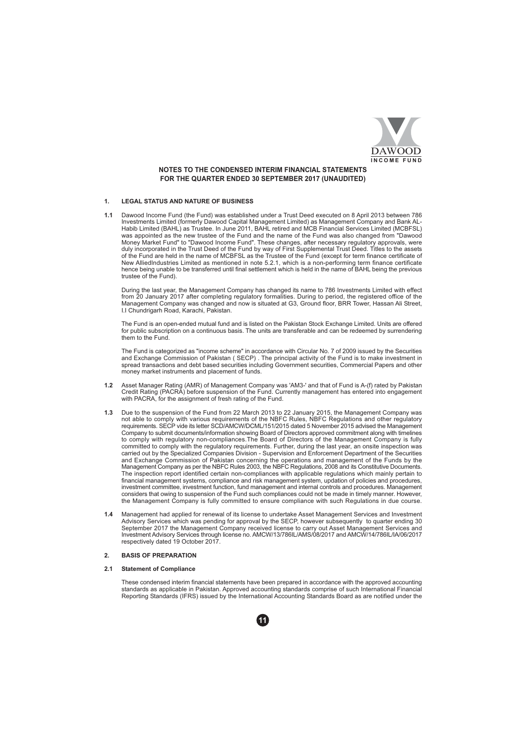

## NOTES TO THE CONDENSED INTERIM FINANCIAL STATEMENTS FOR THE QUARTER ENDED 30 SEPTEMBER 2017 (UNAUDITED)

#### **LEGAL STATUS AND NATURE OF BUSINESS**  $\mathbf{1}$ .

 $1.1$ Dawood Income Fund (the Fund) was established under a Trust Deed executed on 8 April 2013 between 786 Investments Limited (formerly Dawood Capital Management Limited) as Management Company and Bank AL-<br>Habib Limited (BAHL) as Trustee. In June 2011, BAHL retired and MCB Financial Services Limited (MCBFSL) was appointed as the new trustee of the Fund and the name of the Fund was also changed from "Dawood Money Market Fund" to "Dawood Income Fund". These changes, after necessary regulatory approvals, were<br>duly incorporated in the Trust Deed of the Fund by way of First Supplemental Trust Deed. Titles to the assets of the Fund are held in the name of MCBFSL as the Trustee of the Fund (except for term finance certificate of New AlliedIndustries Limited as mentioned in note 5.2.1, which is a non-performing term finance certificate hence being unable to be transferred until final settlement which is held in the name of BAHL being the previous trustee of the Fund).

During the last year, the Management Company has changed its name to 786 Investments Limited with effect from 20 January 2017 after completing regulatory formalities. During to period, the registered office of the Management Company was changed and now is situated at G3, Ground floor, BRR Tower, Hassan Ali Street, I.I Chundrigarh Road, Karachi, Pakistan.

The Fund is an open-ended mutual fund and is listed on the Pakistan Stock Exchange Limited. Units are offered for public subscription on a continuous basis. The units are transferable and can be redeemed by surrendering them to the Fund

The Fund is categorized as "income scheme" in accordance with Circular No. 7 of 2009 issued by the Securities<br>and Exchange Commission of Pakistan (SECP). The principal activity of the Fund is to make investment in<br>spread t money market instruments and placement of funds.

- Asset Manager Rating (AMR) of Management Company was 'AM3-' and that of Fund is A-(f) rated by Pakistan<br>Credit Rating (PACRA) before suspension of the Fund. Currently management has entered into engagement  $12$ with PACRA, for the assignment of fresh rating of the Fund.
- Due to the suspension of the Fund from 22 March 2013 to 22 January 2015, the Management Company was  $1.3$ not able to comply with various requirements of the NBFC Rules, NBFC Regulations and other regulatory requirements. SECP vide its letter SCD/AMCW/DCML/151/2015 dated 5 November 2015 advised the Management Company to submit documents/information showing Board of Directors approved commitment along with timelines to comply with regulatory non-compliances. The Board of Directors of the Management Company is fully committed to comply with the regulatory requirements. Further, during the last year, an onsite inspection was carried out by the Specialized Companies Division - Supervision and Enforcement Department of the Securities and Exchange Commission of Pakistan concerning the operations and management of the Funds by the Management Company as per the NBFC Rules 2003, the NBFC Regulations, 2008 and its Constitutive Documents. The inspection report identified certain non-compliances with applicable regulations which mainly pertain to financial management systems, compliance and risk management system, updation of policies and procedures, investment committee, investment function, fund management and internal controls and procedures. Management considers that owing to suspension of the Fund such compliances could not be made in timely manner. However, the Management Company is fully committed to ensure compliance with such Regulations in due course.
- Management had applied for renewal of its license to undertake Asset Management Services and Investment<br>Advisory Services which was pending for approval by the SECP, however subsequently to quarter ending 30  $14$ September 2017 the Management Company received license to carry out Asset Management Services and Investment Advisory Services through license no. AMCW/13/786IL/AMS/08/2017 and AMCW/14/786IL/IA/06/2017<br>respectively dated 19 October 2017.

#### **BASIS OF PREPARATION**  $2.$

#### $21$ **Statement of Compliance**

These condensed interim financial statements have been prepared in accordance with the approved accounting standards as applicable in Pakistan. Approved accounting standards comprise of such International Financial<br>Reporting Standards (IFRS) issued by the International Accounting Standards Board as are notified under the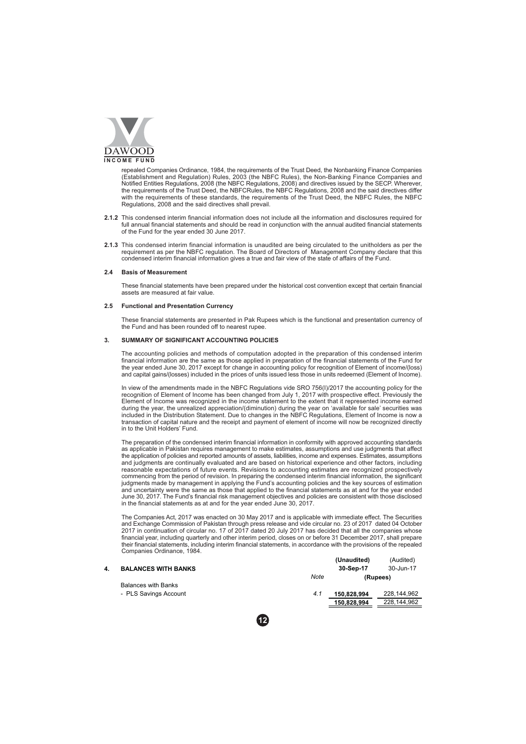

repealed Companies Ordinance, 1984, the requirements of the Trust Deed, the Nonbanking Finance Companies<br>(Establishment and Regulation) Rules, 2003 (the NBFC Rules), the Non-Banking Finance Companies and<br>Notified Entities the requirements of the Trust Deed, the NBFCRules, the NBFC Regulations, 2008 and the said directives differ with the requirements of these standards, the requirements of the Trust Deed, the NBFC Rules, the NBFC Regulations, 2008 and the said directives shall prevail.

- 2.1.2 This condensed interim financial information does not include all the information and disclosures required for full annual financial statements and should be read in conjunction with the annual audited financial statements of the Fund for the year ended 30 June 2017
- 2.1.3 This condensed interim financial information is unaudited are being circulated to the unitholders as per the requirement as per the NBFC regulation. The Board of Directors of Management Company declare that this condensed interim financial information gives a true and fair view of the state of affairs of the Fund.

## 2.4 Basis of Measurement

These financial statements have been prepared under the historical cost convention except that certain financial assets are measured at fair value.

#### $2.5$ **Functional and Presentation Currency**

These financial statements are presented in Pak Rupees which is the functional and presentation currency of the Fund and has been rounded off to nearest ruper

#### SUMMARY OF SIGNIFICANT ACCOUNTING POLICIES  $\mathbf{R}$

The accounting policies and methods of computation adopted in the preparation of this condensed interim Financial information are the same as those applied in preparation of the financial statements of the Fund for<br>the year ended June 30, 2017 except for change in accounting policy for recognition of Element of income/(loss)

In view of the amendments made in the NBFC Regulations vide SRO 756(I)/2017 the accounting policy for the recognition of Element of Income has been changed from July 1, 2017 with prospective effect. Previously the Element of Income was recognized in the income statement to the extent that it represented income earned during the year, the unrealized appreciation/(diminution) during the year on 'available for sale' securities was<br>included in the Distribution Statement. Due to changes in the NBFC Regulations, Element of Income is now a<br>tr in to the Unit Holders' Fund.

The preparation of the condensed interim financial information in conformity with approved accounting standards as applicable in Pakistan requires management to make estimates, assumptions and use judgments that affect the application of policies and reported amounts of assets, liabilities, income and expenses. Estimates, assumptions and judgments are continually evaluated and are based on historical experience and other factors, including<br>reasonable expectations of future events. Revisions to accounting estimates are recognized prospectively<br>commencin judgments made by management in applying the Fund's accounting policies and the key sources of estimation and uncertainty were the same as those that applied to the financial statements as at and for the year ended<br>June 30, 2017. The Fund's financial risk management objectives and policies are consistent with those disclosed<br>i

The Companies Act, 2017 was enacted on 30 May 2017 and is applicable with immediate effect. The Securities and Exchange Commission of Pakistan through press release and vide circular no. 23 of 2017 dated 04 October 2017 in financial year, including quarterly and other interim period, closes on or before 31 December 2017, shall prepare their financial statements, including interim financial statements, in accordance with the provisions of the repealed Companies Ordinance, 1984.  $\mathbf{m}$  $\mathbf{r}$  and  $\mathbf{r}$ 

| <b>BALANCES WITH BANKS</b> |      | (Unaudited)           | (Audited)<br>30-Jun-17 |  |
|----------------------------|------|-----------------------|------------------------|--|
|                            | Note | 30-Sep-17<br>(Rupees) |                        |  |
| <b>Balances with Banks</b> |      |                       |                        |  |
| - PLS Savings Account      | 4.1  | 150.828.994           | 228.144.962            |  |
|                            |      | 150.828.994           | 228.144.962            |  |
|                            |      |                       |                        |  |

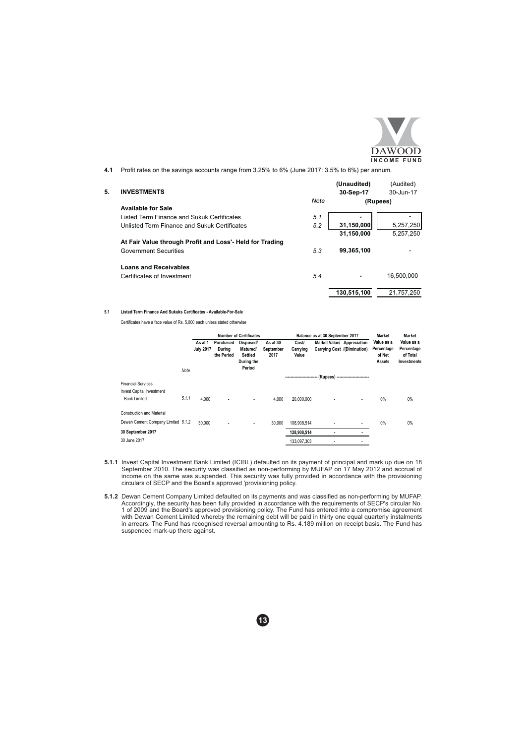

(Audited)

(Unaudited)

Profit rates on the savings accounts range from 3.25% to 6% (June 2017: 3.5% to 6%) per annum.  $4.1$ 

#### **INVESTMENTS**  $5^{\circ}$

| <b>INVESTMENTS</b>                                       |      | 30-Sep-17   | 30-Jun-17  |
|----------------------------------------------------------|------|-------------|------------|
|                                                          | Note | (Rupees)    |            |
| <b>Available for Sale</b>                                |      |             |            |
| Listed Term Finance and Sukuk Certificates               | 5.1  |             |            |
| Unlisted Term Finance and Sukuk Certificates             | 5.2  | 31,150,000  | 5,257,250  |
|                                                          |      | 31,150,000  | 5,257,250  |
| At Fair Value through Profit and Loss'- Held for Trading |      |             |            |
| <b>Government Securities</b>                             | 5.3  | 99.365.100  |            |
| <b>Loans and Receivables</b>                             |      |             |            |
| Certificates of Investment                               | 5.4  |             | 16.500.000 |
|                                                          |      | 130.515.100 | 21.757.250 |

### 5.1 Listed Term Finance And Sukuks Certificates - Available-For-Sale

Certificates have a face value of Rs. 5,000 each unless stated otherwise

|                                                        |       |                  |                      | <b>Number of Certificates</b>                             |                   |                       | Balance as at 30 September 2017       |   | <b>Market</b>                  | <b>Market</b>                                |
|--------------------------------------------------------|-------|------------------|----------------------|-----------------------------------------------------------|-------------------|-----------------------|---------------------------------------|---|--------------------------------|----------------------------------------------|
|                                                        |       | As at 1          | Purchased            | Disposed/                                                 | As at 30          | Cost/                 | Market Value/ Appreciation            |   | Value as a                     | Value as a                                   |
|                                                        | Note  | <b>July 2017</b> | Durina<br>the Period | <b>Matured/</b><br><b>Settled</b><br>During the<br>Period | September<br>2017 | Carrying<br>Value     | Carrying Cost /(Diminution)           |   | Percentage<br>of Net<br>Assets | Percentage<br>of Total<br><b>Investments</b> |
|                                                        |       |                  |                      |                                                           |                   | --------------------- | --- (Rupees) ------------------------ |   |                                |                                              |
| <b>Financial Services</b><br>Invest Capital Investment |       |                  |                      |                                                           |                   |                       |                                       |   |                                |                                              |
| <b>Bank Limited</b>                                    | 5.1.1 | 4.000            | ٠                    | ٠                                                         | 4.000             | 20.000.000            |                                       | ٠ | $0\%$                          | 0%                                           |
| <b>Construction and Material</b>                       |       |                  |                      |                                                           |                   |                       |                                       |   |                                |                                              |
| Dewan Cement Company Limited 5.1.2                     |       | 30,000           |                      | ۰.                                                        | 30,000            | 108.908.514           |                                       | ٠ | $0\%$                          | 0%                                           |
| 30 September 2017                                      |       |                  |                      |                                                           |                   | 128,908,514           |                                       |   |                                |                                              |
| 30 June 2017                                           |       |                  |                      |                                                           |                   | 133,097,303           |                                       |   |                                |                                              |

- 5.1.1 Invest Capital Investment Bank Limited (ICIBL) defaulted on its payment of principal and mark up due on 18 September 2010. The security was classified as non-performing by MUFAP on 17 May 2012 and accrual of income o
- 5.1.2 Dewan Cement Company Limited defaulted on its payments and was classified as non-performing by MUFAP.<br>Accordingly, the security has been fully provided in accordance with the requirements of SECP's circular No.<br>1 of

 $13$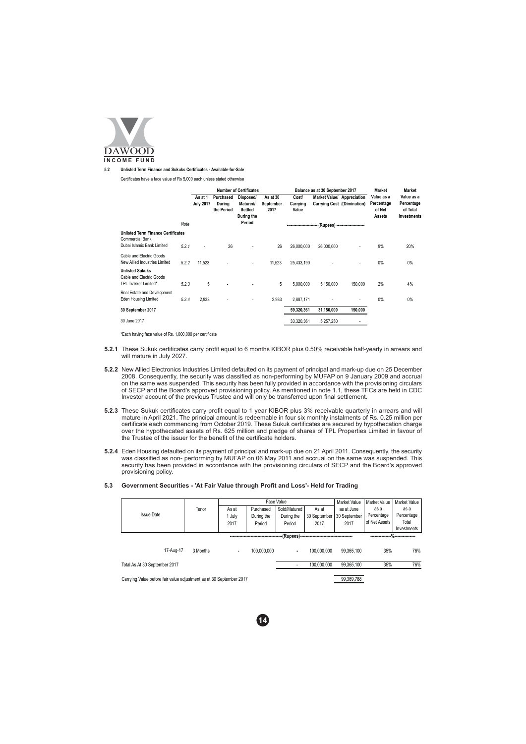

#### Unlisted Term Finance and Sukuks Certificates - Available-for-Sale  $5.2$

Certificates have a face value of Rs 5,000 each unless stated otherwise

|                                                                     |       | <b>Number of Certificates</b> |                                   |                                                                 | Balance as at 30 September 2017 | <b>Market</b>                                 | <b>Market</b>                                             |                                 |                                              |                                                            |
|---------------------------------------------------------------------|-------|-------------------------------|-----------------------------------|-----------------------------------------------------------------|---------------------------------|-----------------------------------------------|-----------------------------------------------------------|---------------------------------|----------------------------------------------|------------------------------------------------------------|
|                                                                     | Note  | As at 1<br><b>July 2017</b>   | Purchased<br>During<br>the Period | Disposed/<br>Matured/<br><b>Settled</b><br>During the<br>Period | As at 30<br>September<br>2017   | Cost/<br>Carrying<br>Value<br>--------------- | Market Value/ Appreciation<br>Carrying Cost /(Diminution) |                                 | Value as a<br>Percentage<br>of Net<br>Assets | Value as a<br>Percentage<br>of Total<br><b>Investments</b> |
| <b>Unlisted Term Finance Certificates</b><br><b>Commercial Bank</b> |       |                               |                                   |                                                                 |                                 |                                               |                                                           | - (Rupees) -------------------- |                                              |                                                            |
| Dubai Islamic Bank Limited                                          | 5.2.1 | ٠                             | 26                                |                                                                 | 26                              | 26,000,000                                    | 26,000,000                                                |                                 | 9%                                           | 20%                                                        |
| Cable and Electric Goods<br>New Allied Industries Limited           | 5.2.2 | 11.523                        |                                   | ٠                                                               | 11.523                          | 25.433.190                                    |                                                           | ٠                               | 0%                                           | 0%                                                         |
| <b>Unlisted Sukuks</b><br>Cable and Electric Goods                  |       |                               |                                   |                                                                 |                                 |                                               |                                                           |                                 |                                              |                                                            |
| TPL Trakker Limited*                                                | 5.2.3 | 5                             |                                   |                                                                 | 5                               | 5.000.000                                     | 5,150,000                                                 | 150,000                         | 2%                                           | 4%                                                         |
| Real Estate and Development<br>Eden Housing Limited                 | 5.2.4 | 2.933                         |                                   | ٠                                                               | 2.933                           | 2,887,171                                     |                                                           | ٠                               | 0%                                           | 0%                                                         |
| 30 September 2017                                                   |       |                               |                                   |                                                                 |                                 | 59,320,361                                    | 31,150,000                                                | 150,000                         |                                              |                                                            |
| 30 June 2017                                                        |       |                               |                                   |                                                                 |                                 | 33,320,361                                    | 5,257,250                                                 |                                 |                                              |                                                            |

\*Each having face value of Rs. 1,000,000 per certificate

- 5.2.1 These Sukuk certificates carry profit equal to 6 months KIBOR plus 0.50% receivable half-yearly in arrears and will mature in July 2027.
- 5.2.2 New Allied Electronics Industries Limited defaulted on its payment of principal and mark-up due on 25 December 2008. Consequently, the security was classified as non-performing by MUFAP on 9 January 2009 and accrual not be same was suspended. This security has been fully provided in accordance with the provisioning circulars<br>of SECP and the Board's approved provisioning policy. As mentioned in note 1.1, these TFCs are held in CDC Investor account of the previous Trustee and will only be transferred upon final settlement.
- 5.2.3 These Sukuk certificates carry profit equal to 1 year KIBOR plus 3% receivable quarterly in arrears and will mature in April 2021. The principal amount is redeemable in four six monthly instalments of Rs. 0.25 millio certificate each commencing from October 2019. These Sukuk certificates are secured by hypothecation charge over the hypothecated assets of Rs. 625 million and pledge of shares of TPL Properties Limited in favour of the Trustee of the issuer for the benefit of the certificate holders.
- 5.2.4 Eden Housing defaulted on its payment of principal and mark-up due on 21 April 2011. Consequently, the security was classified as non- performing by MUFAP on 06 May 2011 and accrual on the same was suspended. This se provisioning policy.
- 5.3 Government Securities 'At Fair Value through Profit and Loss'- Held for Trading

|  |                                                                     | Face Value |        |             |              | Market Value                            | Market Value | Market Value  |                  |
|--|---------------------------------------------------------------------|------------|--------|-------------|--------------|-----------------------------------------|--------------|---------------|------------------|
|  |                                                                     | Tenor      | As at  | Purchased   | Sold/Matured | As at                                   | as at June   | as a          | as a             |
|  | <b>Issue Date</b>                                                   |            | 1 July | During the  | During the   | 30 September                            | 30 September | Percentage    | Percentage       |
|  |                                                                     |            | 2017   | Period      | Period       | 2017                                    | 2017         | of Net Assets | Total            |
|  |                                                                     |            |        |             |              |                                         |              |               | Investments      |
|  |                                                                     |            |        |             |              | -{Rupees}------------------------------ |              |               | . <del></del> %, |
|  | 17-Aug-17                                                           | 3 Months   | ٠      | 100.000.000 | ٠            | 100.000.000                             | 99.365.100   | 35%           | 76%              |
|  | Total As At 30 September 2017                                       |            |        |             |              | 100.000.000                             | 99,365,100   | 35%           | 76%              |
|  | Carrying Value before fair value adjustment as at 30 September 2017 |            |        |             |              |                                         | 99,369,788   |               |                  |

 $14$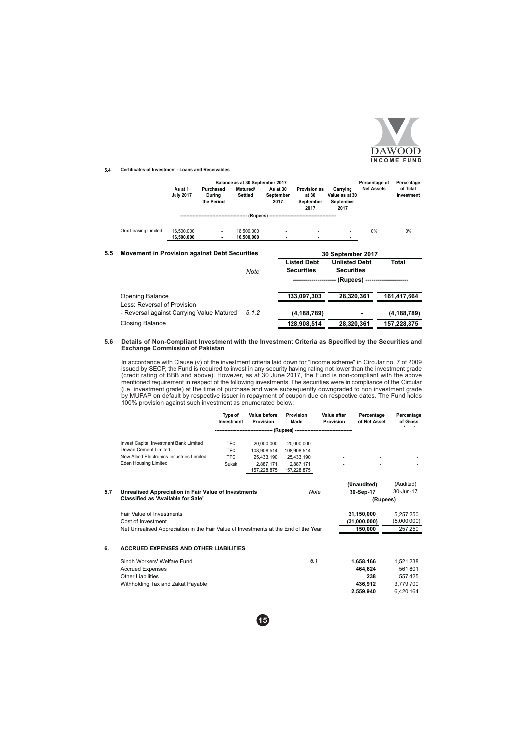

### 5.4 Certificates of Investment - Loans and Receivables

 $5.5$ 

|                                                      |                             |                                   | Balance as at 30 September 2017 |                               |                                                   |                                                                | Percentage of                    | Percentage             |
|------------------------------------------------------|-----------------------------|-----------------------------------|---------------------------------|-------------------------------|---------------------------------------------------|----------------------------------------------------------------|----------------------------------|------------------------|
|                                                      | As at 1<br><b>July 2017</b> | Purchased<br>During<br>the Period | Matured/<br><b>Settled</b>      | As at 30<br>September<br>2017 | <b>Provision as</b><br>at 30<br>September<br>2017 | Carrying<br>Value as at 30<br>September<br>2017                | <b>Net Assets</b>                | of Total<br>Investment |
|                                                      |                             |                                   |                                 |                               |                                                   |                                                                |                                  |                        |
| Orix Leasing Limited                                 | 16.500.000                  |                                   | 16,500,000                      |                               |                                                   |                                                                | 0%                               | 0%                     |
|                                                      | 16,500,000                  |                                   | 16,500,000                      |                               |                                                   |                                                                |                                  |                        |
| <b>Movement in Provision against Debt Securities</b> |                             |                                   | Note                            |                               | <b>Listed Debt</b><br><b>Securities</b>           | 30 September 2017<br><b>Unlisted Debt</b><br><b>Securities</b> |                                  | Total                  |
|                                                      |                             |                                   |                                 |                               |                                                   |                                                                | - (Rupees) --------------------- |                        |
| Opening Balance                                      |                             |                                   |                                 |                               | 133.097.303                                       | 28.320.361                                                     |                                  | 161.417.664            |
| Less: Reversal of Provision                          |                             |                                   |                                 |                               |                                                   |                                                                |                                  |                        |
| - Reversal against Carrying Value Matured            |                             |                                   | 5.1.2                           |                               | (4, 188, 789)                                     |                                                                |                                  | (4, 188, 789)          |
| Closing Balance                                      |                             |                                   |                                 |                               | 128.908.514                                       | 28.320.361                                                     |                                  | 157.228.875            |

### 5.6 Details of Non-Compliant Investment with the Investment Criteria as Specified by the Securities and **Exchange Commission of Pakistan**

In accordance with Clause (v) of the investment criteria laid down for "income scheme" in Circular no. 7 of 2009 issued by SECP, the Fund is required to invest in any security having rating not lower than the investment gr the MUFAP on default by respective issuer in repayment of coupon due on respective dates. The Fund holds<br>100% provision against such investment as enumerated below:

|                                                      | Tvpe of<br>Investment           | Value before<br>Provision | Provision<br>Made | Value after<br>Provision | Percentage<br>of Net Asset | Percentage<br>of Gross |
|------------------------------------------------------|---------------------------------|---------------------------|-------------------|--------------------------|----------------------------|------------------------|
|                                                      | ------------------------------- |                           |                   |                          |                            |                        |
| <b>Invest Capital Investment Bank Limited</b>        | <b>TFC</b>                      | 20,000,000                | 20.000.000        | ۰                        | ٠                          |                        |
| Dewan Cement Limited                                 | <b>TFC</b>                      | 108.908.514               | 108.908.514       | ۰                        | ۰                          | ۰                      |
| New Allied Electronics Industries Limited            | <b>TFC</b>                      | 25.433.190                | 25.433.190        |                          |                            | ۰                      |
| Eden Housing Limited                                 | Sukuk                           | 2.887.171                 | 2.887.171         |                          |                            |                        |
|                                                      |                                 | 157.228.875               | 157.228.875       |                          |                            |                        |
|                                                      |                                 |                           |                   |                          | (Unaudited)                | (Audited)              |
| Unrealised Appreciation in Fair Value of Investments |                                 |                           | Note              |                          | 30-Sep-17                  | 30-Jun-17              |

| 5.7 | Unrealised Appreciation in Fair Value of Investments                                | Note | 30-Sep-17    | 30-Jun-17   |
|-----|-------------------------------------------------------------------------------------|------|--------------|-------------|
|     | <b>Classified as 'Available for Sale'</b>                                           |      | (Rupees)     |             |
|     | Fair Value of Investments                                                           |      | 31.150.000   | 5.257.250   |
|     | Cost of Investment                                                                  |      | (31.000.000) | (5,000,000) |
|     | Net Unrealised Appreciation in the Fair Value of Investments at the End of the Year |      | 150.000      | 257,250     |
|     |                                                                                     |      |              |             |

#### **ACCRUED EXPENSES AND OTHER LIABILITIES**  $6.$

| Sindh Workers' Welfare Fund       | 6.1 | 1.658.166 | 1.521.238 |
|-----------------------------------|-----|-----------|-----------|
| <b>Accrued Expenses</b>           |     | 464.624   | 561.801   |
| Other Liabilities                 |     | 238       | 557.425   |
| Withholding Tax and Zakat Payable |     | 436.912   | 3.779.700 |
|                                   |     | 2.559.940 | 6.420.164 |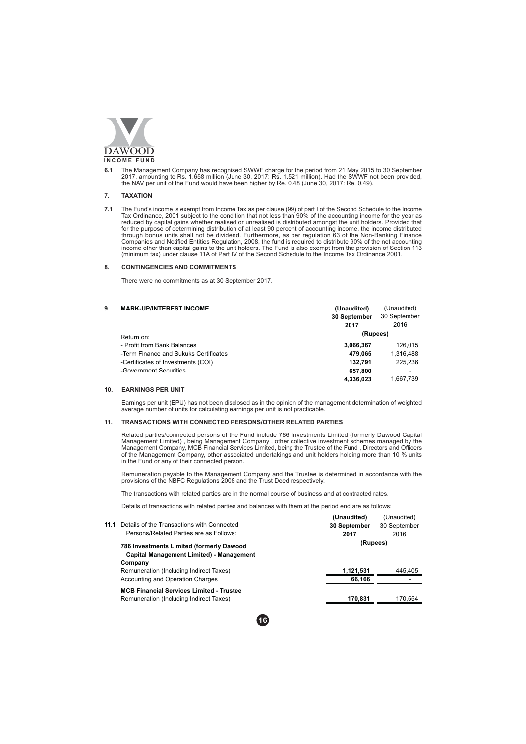

The Management Company has recognised SWWF charge for the period from 21 May 2015 to 30 September 2017, amounting to Rs. 1.658 million (June 30, 2017: Rs. 1.521 million). Had the SWWF not been provided, the NAV per unit of  $6.1$ 

#### **TAXATION**  $\overline{7}$ .

The Fund's income is exempt from Income Tax as per clause (99) of part I of the Second Schedule to the Income<br>Tax Ordinance, 2001 subject to the condition that not less than 90% of the accounting income for the year as  $7.1$ Trax Outrainte, 2001 students of unrealised or unrealised is distributed amongst the unit holders. Provided that<br>for the purpose of determining distribution of at least 90 percent of accounting income, the income distribut (minimum tax) under clause 11A of Part IV of the Second Schedule to the Income Tax Ordinance 2001.

#### $\overline{8}$ **CONTINGENCIES AND COMMITMENTS**

There were no commitments as at 30 September 2017.

#### **MARK-UP/INTEREST INCOME**  $9.$

| <b>MARK-UP/INTEREST INCOME</b>        | (Unaudited)  | (Unaudited)  |  |
|---------------------------------------|--------------|--------------|--|
|                                       | 30 September | 30 September |  |
|                                       | 2017         | 2016         |  |
| Return on:                            | (Rupees)     |              |  |
| - Profit from Bank Balances           | 3,066,367    | 126.015      |  |
| -Term Finance and Sukuks Certificates | 479.065      | 1,316,488    |  |
| -Certificates of Investments (COI)    | 132.791      | 225.236      |  |
| -Government Securities                | 657.800      |              |  |
|                                       | 4.336.023    | 1.667.739    |  |

## 10. EARNINGS PER UNIT

Earnings per unit (EPU) has not been disclosed as in the opinion of the management determination of weighted average number of units for calculating earnings per unit is not practicable.

#### **TRANSACTIONS WITH CONNECTED PERSONS/OTHER RELATED PARTIES**  $11.$

Related parties/connected persons of the Fund include 786 Investments Limited (formerly Dawood Capital Management Limited), being Management Company, other collective investment schemes managed by the Management Company, M of the Management Company, other associated undertakings and unit holders holding more than 10 % units in the Fund or any of their connected person.

Remuneration payable to the Management Company and the Trustee is determined in accordance with the provisions of the NBFC Regulations 2008 and the Trust Deed respectively.

The transactions with related parties are in the normal course of business and at contracted rates.

Details of transactions with related parties and balances with them at the period end are as follows:

| 11.1 | Details of the Transactions with Connected<br>Persons/Related Parties are as Follows:       | (Unaudited)<br>30 September<br>2017 | (Unaudited)<br>30 September<br>2016 |
|------|---------------------------------------------------------------------------------------------|-------------------------------------|-------------------------------------|
|      | 786 Investments Limited (formerly Dawood<br><b>Capital Management Limited) - Management</b> | (Rupees)                            |                                     |
|      | Company                                                                                     |                                     |                                     |
|      | Remuneration (Including Indirect Taxes)                                                     | 1,121,531                           | 445.405                             |
|      | Accounting and Operation Charges                                                            | 66.166                              |                                     |
|      | <b>MCB Financial Services Limited - Trustee</b><br>Remuneration (Including Indirect Taxes)  | 170.831                             | 170.554                             |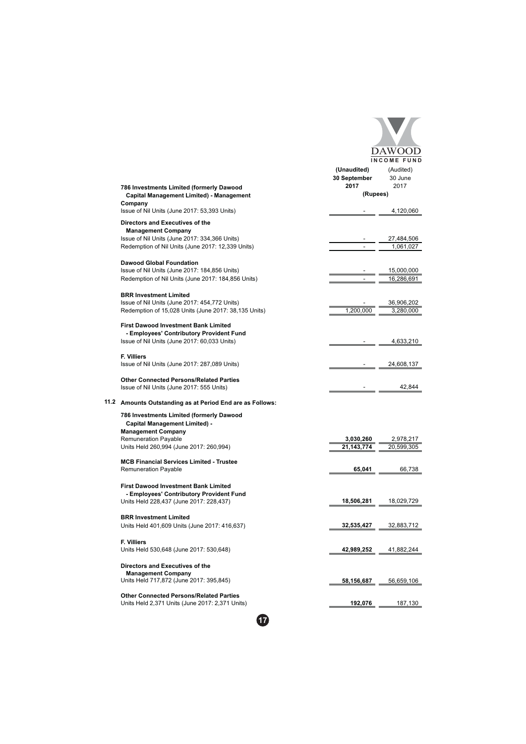|                                                                                                               |                                     | DAW <sub>O</sub><br><b>INCOME FUND</b> |
|---------------------------------------------------------------------------------------------------------------|-------------------------------------|----------------------------------------|
|                                                                                                               | (Unaudited)<br>30 September<br>2017 | (Audited)<br>30 June<br>2017           |
| 786 Investments Limited (formerly Dawood<br>Capital Management Limited) - Management                          | (Rupees)                            |                                        |
| Company                                                                                                       |                                     |                                        |
| Issue of Nil Units (June 2017: 53,393 Units)                                                                  |                                     | 4,120,060                              |
| Directors and Executives of the                                                                               |                                     |                                        |
| <b>Management Company</b><br>Issue of Nil Units (June 2017: 334,366 Units)                                    |                                     | 27,484,506                             |
| Redemption of Nil Units (June 2017: 12,339 Units)                                                             |                                     | 1,061,027                              |
|                                                                                                               |                                     |                                        |
| <b>Dawood Global Foundation</b><br>Issue of Nil Units (June 2017: 184,856 Units)                              |                                     | 15,000,000                             |
| Redemption of Nil Units (June 2017: 184,856 Units)                                                            |                                     | 16,286,691                             |
|                                                                                                               |                                     |                                        |
| <b>BRR Investment Limited</b><br>Issue of Nil Units (June 2017: 454,772 Units)                                |                                     | 36,906,202                             |
| Redemption of 15,028 Units (June 2017: 38,135 Units)                                                          | 1,200,000                           | 3,280,000                              |
| <b>First Dawood Investment Bank Limited</b><br>- Employees' Contributory Provident Fund                       |                                     |                                        |
| Issue of Nil Units (June 2017: 60,033 Units)                                                                  |                                     | 4,633,210                              |
| <b>F. Villiers</b><br>Issue of Nil Units (June 2017: 287,089 Units)                                           |                                     | 24,608,137                             |
| <b>Other Connected Persons/Related Parties</b><br>Issue of Nil Units (June 2017: 555 Units)                   |                                     | 42,844                                 |
| 11.2 Amounts Outstanding as at Period End are as Follows:                                                     |                                     |                                        |
| 786 Investments Limited (formerly Dawood<br><b>Capital Management Limited) -</b><br><b>Management Company</b> |                                     |                                        |
| <b>Remuneration Payable</b>                                                                                   | 3,030,260                           | 2,978,217                              |
| Units Held 260,994 (June 2017: 260,994)                                                                       | 21,143,774                          | 20,599,305                             |
| <b>MCB Financial Services Limited - Trustee</b><br><b>Remuneration Payable</b>                                | 65,041                              | 66,738                                 |
| <b>First Dawood Investment Bank Limited</b>                                                                   |                                     |                                        |
| - Employees' Contributory Provident Fund<br>Units Held 228,437 (June 2017: 228,437)                           | 18,506,281                          | 18,029,729                             |
| <b>BRR Investment Limited</b>                                                                                 |                                     |                                        |
| Units Held 401,609 Units (June 2017: 416,637)                                                                 | 32.535.427                          | 32,883,712                             |
| F. Villiers                                                                                                   |                                     |                                        |
| Units Held 530,648 (June 2017: 530,648)                                                                       | 42,989,252                          | 41,882,244                             |
| Directors and Executives of the<br><b>Management Company</b>                                                  |                                     |                                        |
| Units Held 717,872 (June 2017: 395,845)                                                                       | 58,156,687                          | 56,659,106                             |
| <b>Other Connected Persons/Related Parties</b><br>Units Held 2,371 Units (June 2017: 2,371 Units)             | 192,076                             | 187,130                                |
|                                                                                                               |                                     |                                        |

 $\bullet$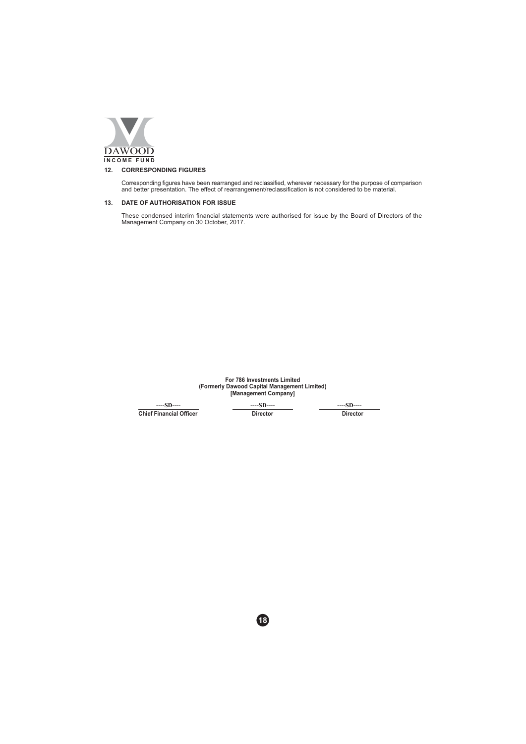

## 12. CORRESPONDING FIGURES

Corresponding figures have been rearranged and reclassified, wherever necessary for the purpose of comparison<br>and better presentation. The effect of rearrangement/reclassification is not considered to be material.

## 13. DATE OF AUTHORISATION FOR ISSUE

These condensed interim financial statements were authorised for issue by the Board of Directors of the Management Company on 30 October, 2017.

For 786 Investments Limited<br>(Formerly Dawood Capital Management Limited)<br>[Management Company]

 $--SD$ ----**Chief Financial Officer**   $--SD--$ Director  $-$ SD $-$ Director

48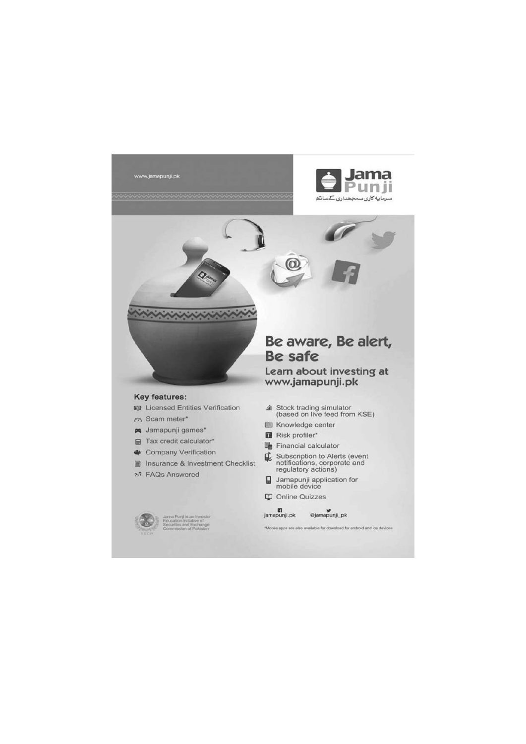